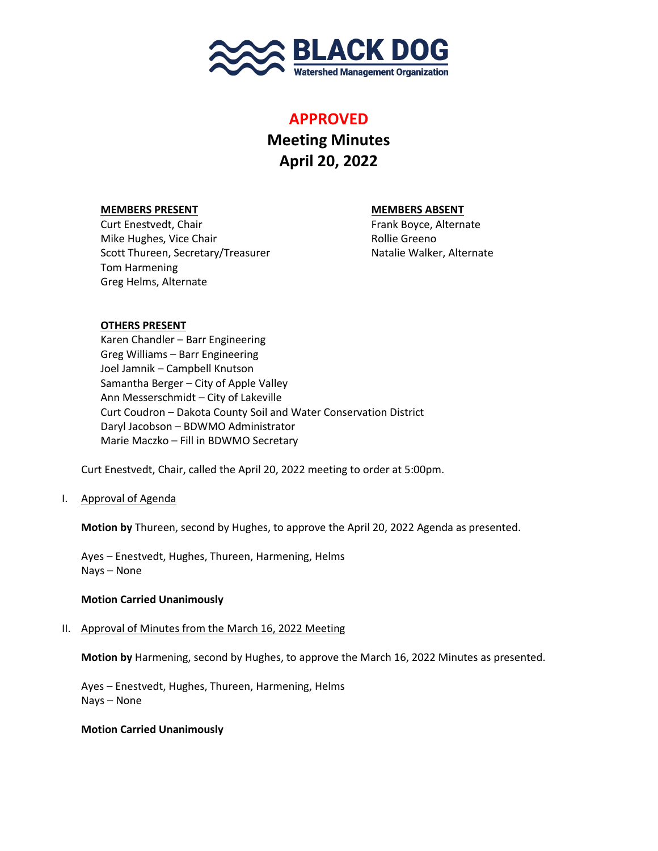

## **APPROVED**

# **Meeting Minutes April 20, 2022**

## **MEMBERS PRESENT MEMBERS ABSENT**

Curt Enestvedt, Chair Frank Boyce, Alternate Mike Hughes, Vice Chair **Rollie Greeno** Rollie Greeno Scott Thureen, Secretary/Treasurer Natalie Walker, Alternate Tom Harmening Greg Helms, Alternate

## **OTHERS PRESENT**

Karen Chandler – Barr Engineering Greg Williams – Barr Engineering Joel Jamnik – Campbell Knutson Samantha Berger – City of Apple Valley Ann Messerschmidt – City of Lakeville Curt Coudron – Dakota County Soil and Water Conservation District Daryl Jacobson – BDWMO Administrator Marie Maczko – Fill in BDWMO Secretary

Curt Enestvedt, Chair, called the April 20, 2022 meeting to order at 5:00pm.

## I. Approval of Agenda

**Motion by** Thureen, second by Hughes, to approve the April 20, 2022 Agenda as presented.

Ayes – Enestvedt, Hughes, Thureen, Harmening, Helms Nays – None

## **Motion Carried Unanimously**

II. Approval of Minutes from the March 16, 2022 Meeting

**Motion by** Harmening, second by Hughes, to approve the March 16, 2022 Minutes as presented.

Ayes – Enestvedt, Hughes, Thureen, Harmening, Helms Nays – None

## **Motion Carried Unanimously**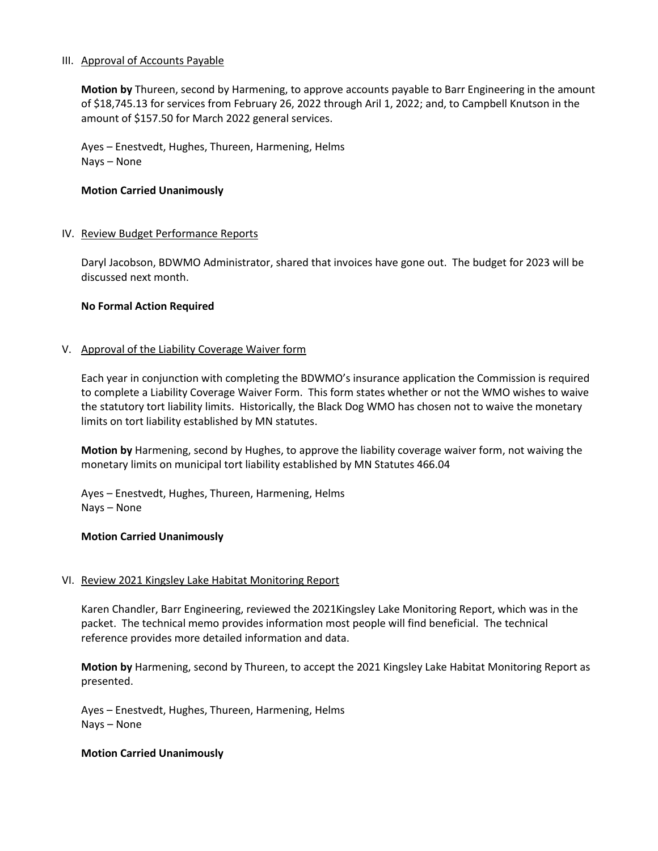#### III. Approval of Accounts Payable

**Motion by** Thureen, second by Harmening, to approve accounts payable to Barr Engineering in the amount of \$18,745.13 for services from February 26, 2022 through Aril 1, 2022; and, to Campbell Knutson in the amount of \$157.50 for March 2022 general services.

Ayes – Enestvedt, Hughes, Thureen, Harmening, Helms Nays – None

#### **Motion Carried Unanimously**

#### IV. Review Budget Performance Reports

Daryl Jacobson, BDWMO Administrator, shared that invoices have gone out. The budget for 2023 will be discussed next month.

#### **No Formal Action Required**

#### V. Approval of the Liability Coverage Waiver form

Each year in conjunction with completing the BDWMO's insurance application the Commission is required to complete a Liability Coverage Waiver Form. This form states whether or not the WMO wishes to waive the statutory tort liability limits. Historically, the Black Dog WMO has chosen not to waive the monetary limits on tort liability established by MN statutes.

**Motion by** Harmening, second by Hughes, to approve the liability coverage waiver form, not waiving the monetary limits on municipal tort liability established by MN Statutes 466.04

Ayes – Enestvedt, Hughes, Thureen, Harmening, Helms Nays – None

#### **Motion Carried Unanimously**

## VI. Review 2021 Kingsley Lake Habitat Monitoring Report

Karen Chandler, Barr Engineering, reviewed the 2021Kingsley Lake Monitoring Report, which was in the packet. The technical memo provides information most people will find beneficial. The technical reference provides more detailed information and data.

**Motion by** Harmening, second by Thureen, to accept the 2021 Kingsley Lake Habitat Monitoring Report as presented.

Ayes – Enestvedt, Hughes, Thureen, Harmening, Helms Nays – None

#### **Motion Carried Unanimously**